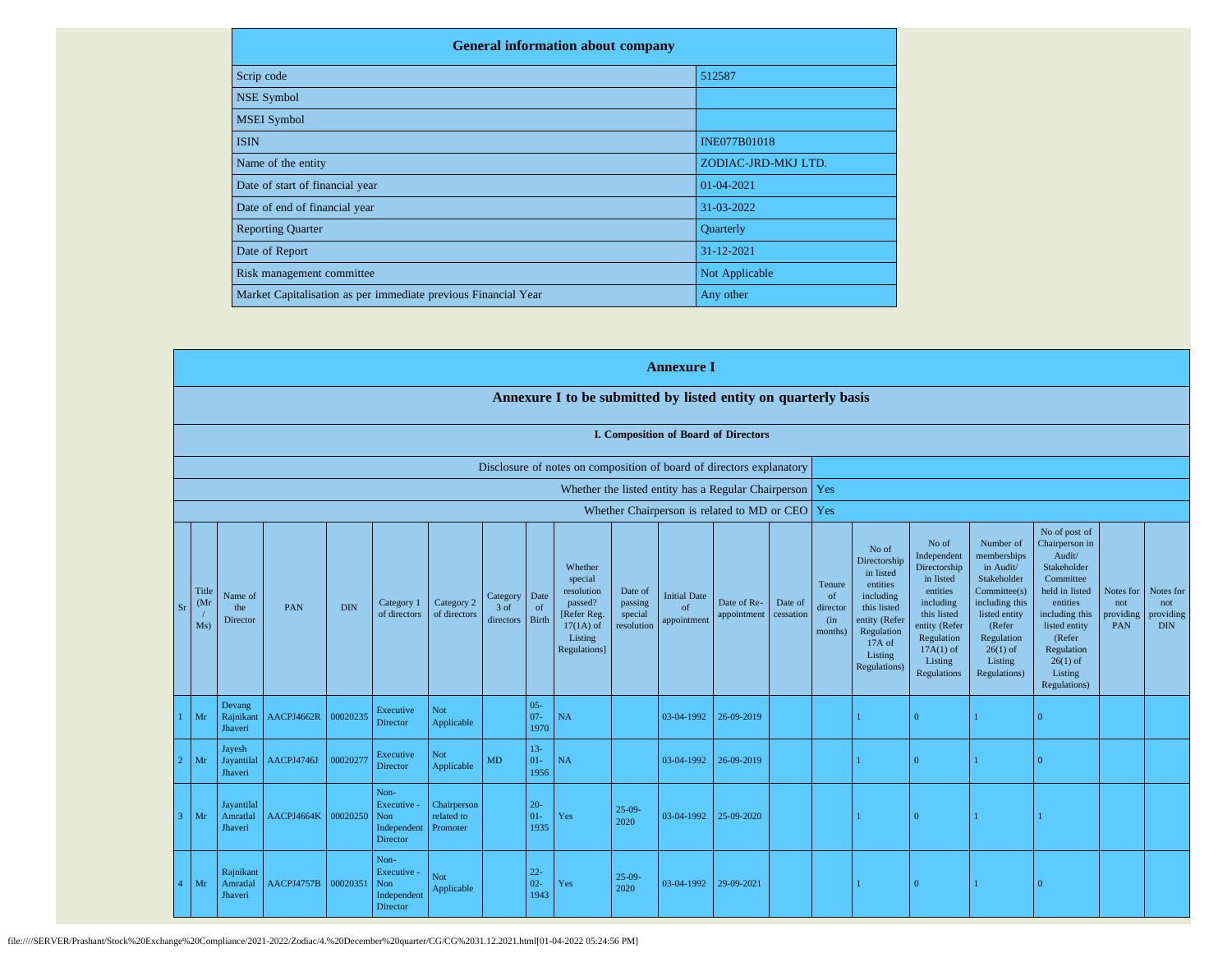| <b>General information about company</b>                       |                     |
|----------------------------------------------------------------|---------------------|
| Scrip code                                                     | 512587              |
| <b>NSE Symbol</b>                                              |                     |
| <b>MSEI</b> Symbol                                             |                     |
| <b>ISIN</b>                                                    | <b>INE077B01018</b> |
| Name of the entity                                             | ZODIAC-JRD-MKJ LTD. |
| Date of start of financial year                                | 01-04-2021          |
| Date of end of financial year                                  | 31-03-2022          |
| <b>Reporting Quarter</b>                                       | Quarterly           |
| Date of Report                                                 | 31-12-2021          |
| Risk management committee                                      | Not Applicable      |
| Market Capitalisation as per immediate previous Financial Year | Any other           |

|   |                            |                                   |                     |            |                                                              |                                       |                               |                          |                                                                                                      |                                             | <b>Annexure I</b>                        |                                                           |                      |                                                       |                                                                                                                                                |                                                                                                                                                                   |                                                                                                                                                                          |                                                                                                                                                                                                         |                                      |                                             |
|---|----------------------------|-----------------------------------|---------------------|------------|--------------------------------------------------------------|---------------------------------------|-------------------------------|--------------------------|------------------------------------------------------------------------------------------------------|---------------------------------------------|------------------------------------------|-----------------------------------------------------------|----------------------|-------------------------------------------------------|------------------------------------------------------------------------------------------------------------------------------------------------|-------------------------------------------------------------------------------------------------------------------------------------------------------------------|--------------------------------------------------------------------------------------------------------------------------------------------------------------------------|---------------------------------------------------------------------------------------------------------------------------------------------------------------------------------------------------------|--------------------------------------|---------------------------------------------|
|   |                            |                                   |                     |            |                                                              |                                       |                               |                          | Annexure I to be submitted by listed entity on quarterly basis                                       |                                             |                                          |                                                           |                      |                                                       |                                                                                                                                                |                                                                                                                                                                   |                                                                                                                                                                          |                                                                                                                                                                                                         |                                      |                                             |
|   |                            |                                   |                     |            |                                                              |                                       |                               |                          |                                                                                                      |                                             |                                          | I. Composition of Board of Directors                      |                      |                                                       |                                                                                                                                                |                                                                                                                                                                   |                                                                                                                                                                          |                                                                                                                                                                                                         |                                      |                                             |
|   |                            |                                   |                     |            |                                                              |                                       |                               |                          | Disclosure of notes on composition of board of directors explanatory                                 |                                             |                                          |                                                           |                      |                                                       |                                                                                                                                                |                                                                                                                                                                   |                                                                                                                                                                          |                                                                                                                                                                                                         |                                      |                                             |
|   |                            |                                   |                     |            |                                                              |                                       |                               |                          |                                                                                                      |                                             |                                          | Whether the listed entity has a Regular Chairperson   Yes |                      |                                                       |                                                                                                                                                |                                                                                                                                                                   |                                                                                                                                                                          |                                                                                                                                                                                                         |                                      |                                             |
|   |                            |                                   |                     |            |                                                              |                                       |                               |                          |                                                                                                      |                                             |                                          | Whether Chairperson is related to MD or CEO Yes           |                      |                                                       |                                                                                                                                                |                                                                                                                                                                   |                                                                                                                                                                          |                                                                                                                                                                                                         |                                      |                                             |
|   | Title<br>(Mr)<br>Sr<br>Ms) | Name of<br>the<br>Director        | PAN                 | <b>DIN</b> | Category 1<br>of directors                                   | Category 2<br>of directors            | Category<br>3 of<br>directors | Date<br>of<br>Birth      | Whether<br>special<br>resolution<br>passed?<br>[Refer Reg.<br>$17(1A)$ of<br>Listing<br>Regulations] | Date of<br>passing<br>special<br>resolution | <b>Initial Date</b><br>of<br>appointment | Date of Re-<br>appointment                                | Date of<br>cessation | Tenure<br><sub>of</sub><br>director<br>(in<br>months) | No of<br>Directorship<br>in listed<br>entities<br>including<br>this listed<br>entity (Refer<br>Regulation<br>17A of<br>Listing<br>Regulations) | No of<br>Independent<br>Directorship<br>in listed<br>entities<br>including<br>this listed<br>entity (Refer<br>Regulation<br>$17A(1)$ of<br>Listing<br>Regulations | Number of<br>memberships<br>in Audit/<br>Stakeholder<br>Committee(s)<br>including this<br>listed entity<br>(Refer<br>Regulation<br>$26(1)$ of<br>Listing<br>Regulations) | No of post of<br>Chairperson in<br>Audit/<br>Stakeholder<br>Committee<br>held in listed<br>entities<br>including this<br>listed entity<br>(Refer<br>Regulation<br>$26(1)$ of<br>Listing<br>Regulations) | Notes for<br>not<br>providing<br>PAN | Notes for<br>not<br>providing<br><b>DIN</b> |
|   | Mr                         | Devang<br>Rajnikant<br>Jhaveri    | AACPJ4662R          | 00020235   | Executive<br>Director                                        | Not<br>Applicable                     |                               | $05 -$<br>$07 -$<br>1970 | NA                                                                                                   |                                             | 03-04-1992                               | 26-09-2019                                                |                      |                                                       |                                                                                                                                                | $\overline{0}$                                                                                                                                                    |                                                                                                                                                                          | $\Omega$                                                                                                                                                                                                |                                      |                                             |
|   | $\overline{2}$<br>Mr       | Jayesh<br>Jayantilal<br>Jhaveri   | AACPJ4746J          | 00020277   | Executive<br>Director                                        | Not<br>Applicable                     | MD                            | $13 -$<br>$01 -$<br>1956 | NA                                                                                                   |                                             | 03-04-1992                               | 26-09-2019                                                |                      |                                                       |                                                                                                                                                | $\overline{0}$                                                                                                                                                    |                                                                                                                                                                          | $\overline{0}$                                                                                                                                                                                          |                                      |                                             |
|   | 3 <sup>1</sup><br>Mr       | Jayantilal<br>Amratlal<br>Jhaveri | AACPJ4664K 00020250 |            | Non-<br>Executive -<br>Non<br>Independent<br><b>Director</b> | Chairperson<br>related to<br>Promoter |                               | $20 -$<br>$01 -$<br>1935 | Yes                                                                                                  | $25-09-$<br>2020                            | 03-04-1992                               | 25-09-2020                                                |                      |                                                       |                                                                                                                                                | l O                                                                                                                                                               |                                                                                                                                                                          |                                                                                                                                                                                                         |                                      |                                             |
| 4 | Mr                         | Rajnikant<br>Amratlal<br>Jhaveri  | AACPJ4757B 00020351 |            | Non-<br>Executive -<br><b>Non</b><br>Independent<br>Director | Not<br>Applicable                     |                               | $22 -$<br>$02 -$<br>1943 | Yes                                                                                                  | $25-09-$<br>2020                            | 03-04-1992                               | 29-09-2021                                                |                      |                                                       |                                                                                                                                                | l O                                                                                                                                                               |                                                                                                                                                                          | $\overline{0}$                                                                                                                                                                                          |                                      |                                             |

file:////SERVER/Prashant/Stock%20Exchange%20Compliance/2021-2022/Zodiac/4.%20December%20quarter/CG/CG%2031.12.2021.html[01-04-2022 05:24:56 PM]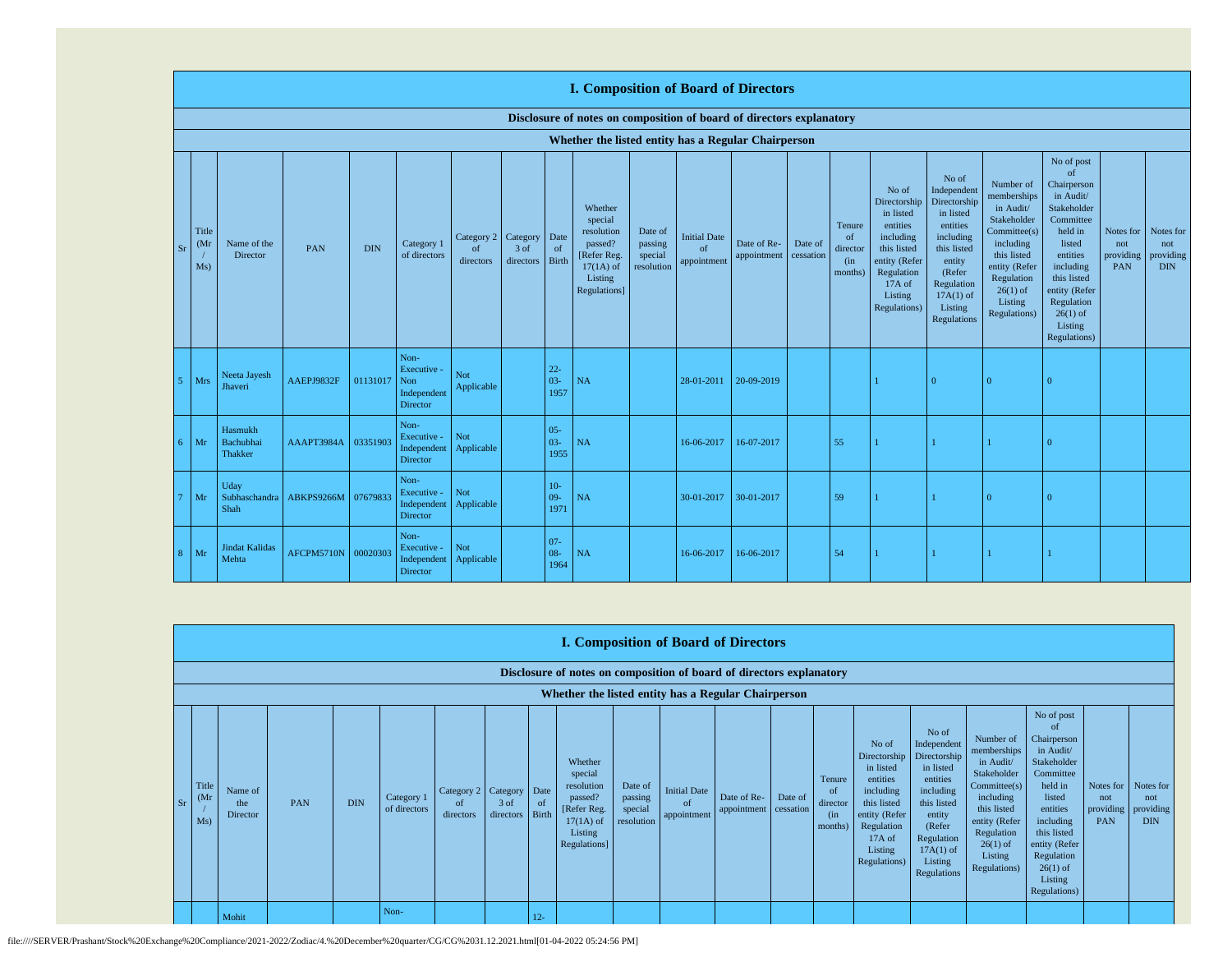|    |                                   |                                        |            |            |                                                       |                                        |                   |                          | <b>I. Composition of Board of Directors</b>                                                          |                                             |                                          |                            |                      |                                                       |                                                                                                                                                |                                                                                                                                                                      |                                                                                                                                                                          |                                                                                                                                                                                                               |                                      |                                             |
|----|-----------------------------------|----------------------------------------|------------|------------|-------------------------------------------------------|----------------------------------------|-------------------|--------------------------|------------------------------------------------------------------------------------------------------|---------------------------------------------|------------------------------------------|----------------------------|----------------------|-------------------------------------------------------|------------------------------------------------------------------------------------------------------------------------------------------------|----------------------------------------------------------------------------------------------------------------------------------------------------------------------|--------------------------------------------------------------------------------------------------------------------------------------------------------------------------|---------------------------------------------------------------------------------------------------------------------------------------------------------------------------------------------------------------|--------------------------------------|---------------------------------------------|
|    |                                   |                                        |            |            |                                                       |                                        |                   |                          | Disclosure of notes on composition of board of directors explanatory                                 |                                             |                                          |                            |                      |                                                       |                                                                                                                                                |                                                                                                                                                                      |                                                                                                                                                                          |                                                                                                                                                                                                               |                                      |                                             |
|    |                                   |                                        |            |            |                                                       |                                        |                   |                          | Whether the listed entity has a Regular Chairperson                                                  |                                             |                                          |                            |                      |                                                       |                                                                                                                                                |                                                                                                                                                                      |                                                                                                                                                                          |                                                                                                                                                                                                               |                                      |                                             |
| Sr | Title<br>(M <sub>1</sub> )<br>Ms) | Name of the<br>Director                | PAN        | <b>DIN</b> | Category 1<br>of directors                            | Category 2 Category<br>of<br>directors | 3 of<br>directors | Date<br>of<br>Birth      | Whether<br>special<br>resolution<br>passed?<br>[Refer Reg.<br>$17(1A)$ of<br>Listing<br>Regulations] | Date of<br>passing<br>special<br>resolution | <b>Initial Date</b><br>of<br>appointment | Date of Re-<br>appointment | Date of<br>cessation | Tenure<br><sub>of</sub><br>director<br>(in<br>months) | No of<br>Directorship<br>in listed<br>entities<br>including<br>this listed<br>entity (Refer<br>Regulation<br>17A of<br>Listing<br>Regulations) | No of<br>Independent<br>Directorship<br>in listed<br>entities<br>including<br>this listed<br>entity<br>(Refer<br>Regulation<br>$17A(1)$ of<br>Listing<br>Regulations | Number of<br>memberships<br>in Audit/<br>Stakeholder<br>Committee(s)<br>including<br>this listed<br>entity (Refer<br>Regulation<br>$26(1)$ of<br>Listing<br>Regulations) | No of post<br>of<br>Chairperson<br>in Audit/<br>Stakeholder<br>Committee<br>held in<br>listed<br>entities<br>including<br>this listed<br>entity (Refer<br>Regulation<br>$26(1)$ of<br>Listing<br>Regulations) | Notes for<br>not<br>providing<br>PAN | Notes for<br>not<br>providing<br><b>DIN</b> |
|    | Mrs                               | Neeta Jayesh<br>Jhaveri                | AAEPJ9832F | 01131017   | Non-<br>Executive -<br>Non<br>Independent<br>Director | Not<br>Applicable                      |                   | $22 -$<br>$03 -$<br>1957 | NA                                                                                                   |                                             | 28-01-2011                               | 20-09-2019                 |                      |                                                       |                                                                                                                                                | $\Omega$                                                                                                                                                             | $\Omega$                                                                                                                                                                 |                                                                                                                                                                                                               |                                      |                                             |
| б. | Mr                                | Hasmukh<br>Bachubhai<br><b>Thakker</b> | AAAPT3984A | 03351903   | Non-<br>Executive -<br>Independent<br>Director        | Not<br>Applicable                      |                   | $05 -$<br>$03 -$<br>1955 | NA                                                                                                   |                                             | 16-06-2017                               | 16-07-2017                 |                      | 55                                                    |                                                                                                                                                |                                                                                                                                                                      |                                                                                                                                                                          |                                                                                                                                                                                                               |                                      |                                             |
|    | Mr                                | Uday<br>Subhaschandra<br>Shah          | ABKPS9266M | 07679833   | Non-<br>Executive -<br>Independent<br>Director        | Not<br>Applicable                      |                   | $10-$<br>$09 -$<br>1971  | NA                                                                                                   |                                             | 30-01-2017                               | 30-01-2017                 |                      | 59                                                    |                                                                                                                                                |                                                                                                                                                                      | $\Omega$                                                                                                                                                                 | $\Omega$                                                                                                                                                                                                      |                                      |                                             |
| 8  | Mr                                | <b>Jindat Kalidas</b><br>Mehta         | AFCPM5710N | 00020303   | Non-<br>Executive -<br>Independent<br>Director        | Not<br>Applicable                      |                   | $07 -$<br>08-<br>1964    | NA                                                                                                   |                                             | 16-06-2017                               | 16-06-2017                 |                      | 54                                                    |                                                                                                                                                |                                                                                                                                                                      |                                                                                                                                                                          |                                                                                                                                                                                                               |                                      |                                             |

|      | <b>I. Composition of Board of Directors</b> |                                                                      |     |            |                            |                                        |                         |             |                                                                                                       |                                             |                                                  |                            |                      |                                                        |                                                                                                                                                |                                                                                                                                                                      |                                                                                                                                                                          |                                                                                                                                                                                                                          |                                             |                                             |
|------|---------------------------------------------|----------------------------------------------------------------------|-----|------------|----------------------------|----------------------------------------|-------------------------|-------------|-------------------------------------------------------------------------------------------------------|---------------------------------------------|--------------------------------------------------|----------------------------|----------------------|--------------------------------------------------------|------------------------------------------------------------------------------------------------------------------------------------------------|----------------------------------------------------------------------------------------------------------------------------------------------------------------------|--------------------------------------------------------------------------------------------------------------------------------------------------------------------------|--------------------------------------------------------------------------------------------------------------------------------------------------------------------------------------------------------------------------|---------------------------------------------|---------------------------------------------|
|      |                                             | Disclosure of notes on composition of board of directors explanatory |     |            |                            |                                        |                         |             |                                                                                                       |                                             |                                                  |                            |                      |                                                        |                                                                                                                                                |                                                                                                                                                                      |                                                                                                                                                                          |                                                                                                                                                                                                                          |                                             |                                             |
|      |                                             | Whether the listed entity has a Regular Chairperson                  |     |            |                            |                                        |                         |             |                                                                                                       |                                             |                                                  |                            |                      |                                                        |                                                                                                                                                |                                                                                                                                                                      |                                                                                                                                                                          |                                                                                                                                                                                                                          |                                             |                                             |
| - Sr | Title<br>(M <sub>I</sub> )<br>Ms)           | Name of<br>the<br>Director                                           | PAN | <b>DIN</b> | Category 1<br>of directors | Category 2 Category<br>of<br>directors | 3 of<br>directors Birth | Date<br>-of | Whether<br>special<br>resolution<br>passed?<br>[Refer Reg.]<br>$17(1A)$ of<br>Listing<br>Regulations] | Date of<br>passing<br>special<br>resolution | <b>Initial Date</b><br>$\alpha$ f<br>appointment | Date of Re-<br>appointment | Date of<br>cessation | Tenure<br><sup>of</sup><br>director<br>(in)<br>months) | No of<br>Directorship<br>in listed<br>entities<br>including<br>this listed<br>entity (Refer<br>Regulation<br>17A of<br>Listing<br>Regulations) | No of<br>Independent<br>Directorship<br>in listed<br>entities<br>including<br>this listed<br>entity<br>(Refer<br>Regulation<br>$17A(1)$ of<br>Listing<br>Regulations | Number of<br>memberships<br>in Audit/<br>Stakeholder<br>Committee(s)<br>including<br>this listed<br>entity (Refer<br>Regulation<br>$26(1)$ of<br>Listing<br>Regulations) | No of post<br><sup>of</sup><br>Chairperson<br>in Audit/<br>Stakeholder<br>Committee<br>held in<br>listed<br>entities<br>including<br>this listed<br>entity (Refer<br>Regulation<br>$26(1)$ of<br>Listing<br>Regulations) | Notes for<br>not<br>providing<br><b>PAN</b> | Notes for<br>not<br>providing<br><b>DIN</b> |
|      |                                             | Mohit                                                                |     |            | Non-                       |                                        |                         | $12 -$      |                                                                                                       |                                             |                                                  |                            |                      |                                                        |                                                                                                                                                |                                                                                                                                                                      |                                                                                                                                                                          |                                                                                                                                                                                                                          |                                             |                                             |

file:////SERVER/Prashant/Stock%20Exchange%20Compliance/2021-2022/Zodiac/4.%20December%20quarter/CG/CG%2031.12.2021.html[01-04-2022 05:24:56 PM]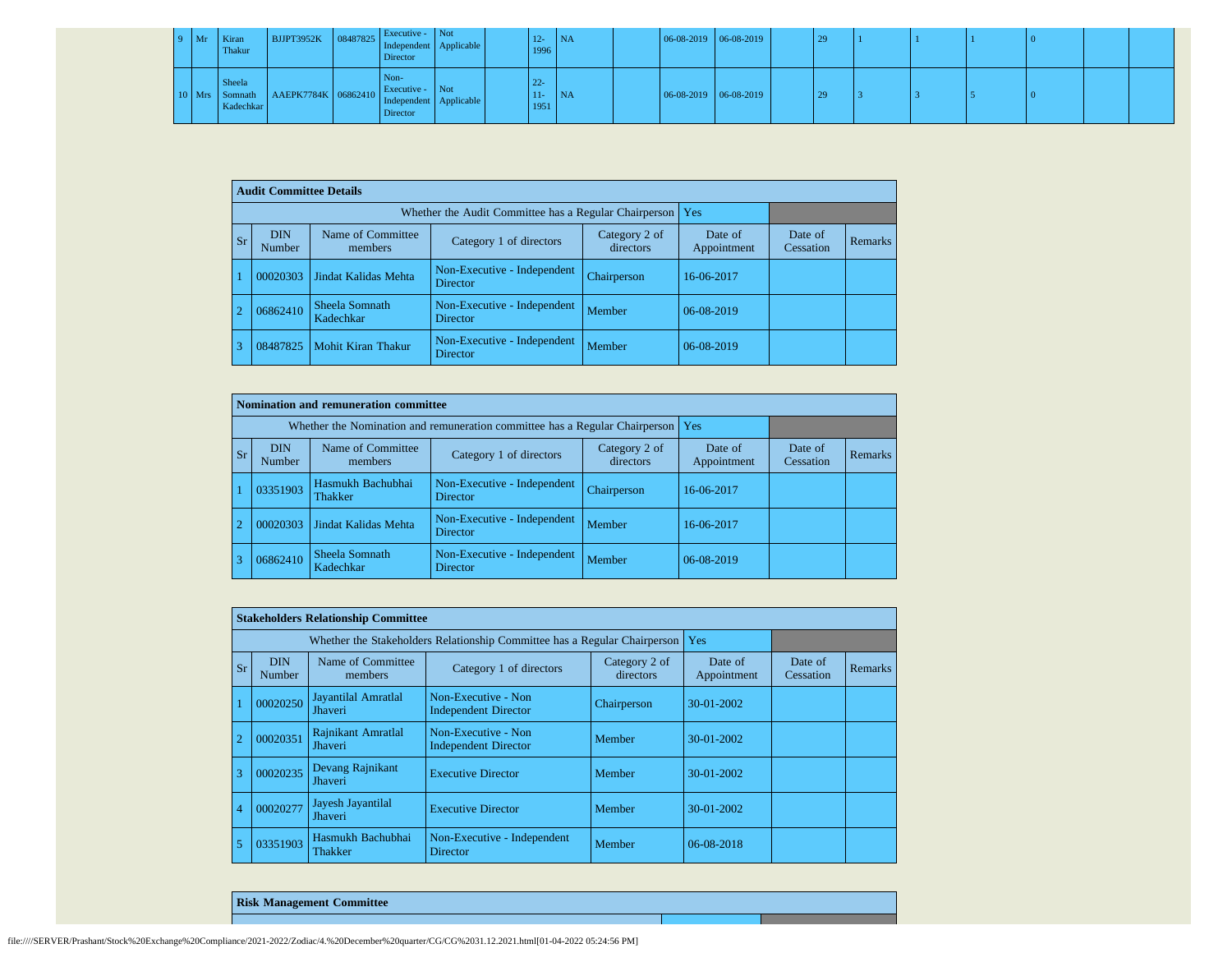| $9$ Mr | Kiran<br>Thakur     | BJJPT3952K 08487825 Independent Applicable             | Executive - Not<br>Director |  | $12 -$<br>1996           | <b>NA</b> | $06-08-2019$ 06-08-2019 |  | 29 |  |  |  |
|--------|---------------------|--------------------------------------------------------|-----------------------------|--|--------------------------|-----------|-------------------------|--|----|--|--|--|
|        | Sheela<br>Kadechkar | Mrs Somnath AAEPK7784K 06862410 Independent Applicable | Non-<br>Director            |  | $22 -$<br>$11 -$<br>1951 | <b>NA</b> | $06-08-2019$ 06-08-2019 |  | 29 |  |  |  |

|                | <b>Audit Committee Details</b> |                              |                                                       |                            |                        |                      |                |
|----------------|--------------------------------|------------------------------|-------------------------------------------------------|----------------------------|------------------------|----------------------|----------------|
|                |                                |                              | Whether the Audit Committee has a Regular Chairperson |                            | Yes                    |                      |                |
| <b>Sr</b>      | <b>DIN</b><br>Number           | Name of Committee<br>members | Category 1 of directors                               | Category 2 of<br>directors | Date of<br>Appointment | Date of<br>Cessation | <b>Remarks</b> |
|                | 00020303                       | Jindat Kalidas Mehta         | Non-Executive - Independent<br>Director               | Chairperson                | 16-06-2017             |                      |                |
| $\overline{2}$ | 06862410                       | Sheela Somnath<br>Kadechkar  | Non-Executive - Independent<br><b>Director</b>        | Member                     | 06-08-2019             |                      |                |
| 3              | 08487825                       | <b>Mohit Kiran Thakur</b>    | Non-Executive - Independent<br><b>Director</b>        | Member                     | 06-08-2019             |                      |                |

|            |                                  | Nomination and remuneration committee |                                                                             |                            |                        |                      |         |
|------------|----------------------------------|---------------------------------------|-----------------------------------------------------------------------------|----------------------------|------------------------|----------------------|---------|
|            |                                  |                                       | Whether the Nomination and remuneration committee has a Regular Chairperson |                            | Yes                    |                      |         |
| <b>Sr</b>  | <b>DIN</b><br>Number             | Name of Committee<br>members          | Category 1 of directors                                                     | Category 2 of<br>directors | Date of<br>Appointment | Date of<br>Cessation | Remarks |
|            | 03351903                         | Hasmukh Bachubhai<br>Thakker          | Non-Executive - Independent<br><b>Director</b>                              | Chairperson                | 16-06-2017             |                      |         |
| $\sqrt{2}$ | Jindat Kalidas Mehta<br>00020303 |                                       | Non-Executive - Independent<br><b>Director</b>                              | Member                     | 16-06-2017             |                      |         |
|            | 06862410                         | Sheela Somnath<br>Kadechkar           | Non-Executive - Independent<br><b>Director</b>                              | Member                     | 06-08-2019             |                      |         |

|                |                      | <b>Stakeholders Relationship Committee</b> |                                                                           |                            |                        |                      |                |
|----------------|----------------------|--------------------------------------------|---------------------------------------------------------------------------|----------------------------|------------------------|----------------------|----------------|
|                |                      |                                            | Whether the Stakeholders Relationship Committee has a Regular Chairperson |                            | Yes                    |                      |                |
| Sr             | <b>DIN</b><br>Number | Name of Committee<br>members               | Category 1 of directors                                                   | Category 2 of<br>directors | Date of<br>Appointment | Date of<br>Cessation | <b>Remarks</b> |
|                | 00020250             | Jayantilal Amratlal<br>Jhaveri             | Non-Executive - Non<br><b>Independent Director</b>                        | Chairperson                | $30-01-2002$           |                      |                |
|                | 00020351             | Rajnikant Amratlal<br>Jhaveri              | Non-Executive - Non<br><b>Independent Director</b>                        | Member                     | $30-01-2002$           |                      |                |
| 3              | 00020235             | Devang Rajnikant<br>Jhaveri                | <b>Executive Director</b>                                                 | Member                     | $30-01-2002$           |                      |                |
| $\overline{4}$ | 00020277             | Jayesh Jayantilal<br><b>Jhaveri</b>        | <b>Executive Director</b>                                                 | Member                     | 30-01-2002             |                      |                |
| 5              | 03351903             | Hasmukh Bachubhai<br>Thakker               | Non-Executive - Independent<br><b>Director</b>                            | Member                     | 06-08-2018             |                      |                |

**Risk Management Committee**

file:////SERVER/Prashant/Stock%20Exchange%20Compliance/2021-2022/Zodiac/4.%20December%20quarter/CG/CG%2031.12.2021.html[01-04-2022 05:24:56 PM]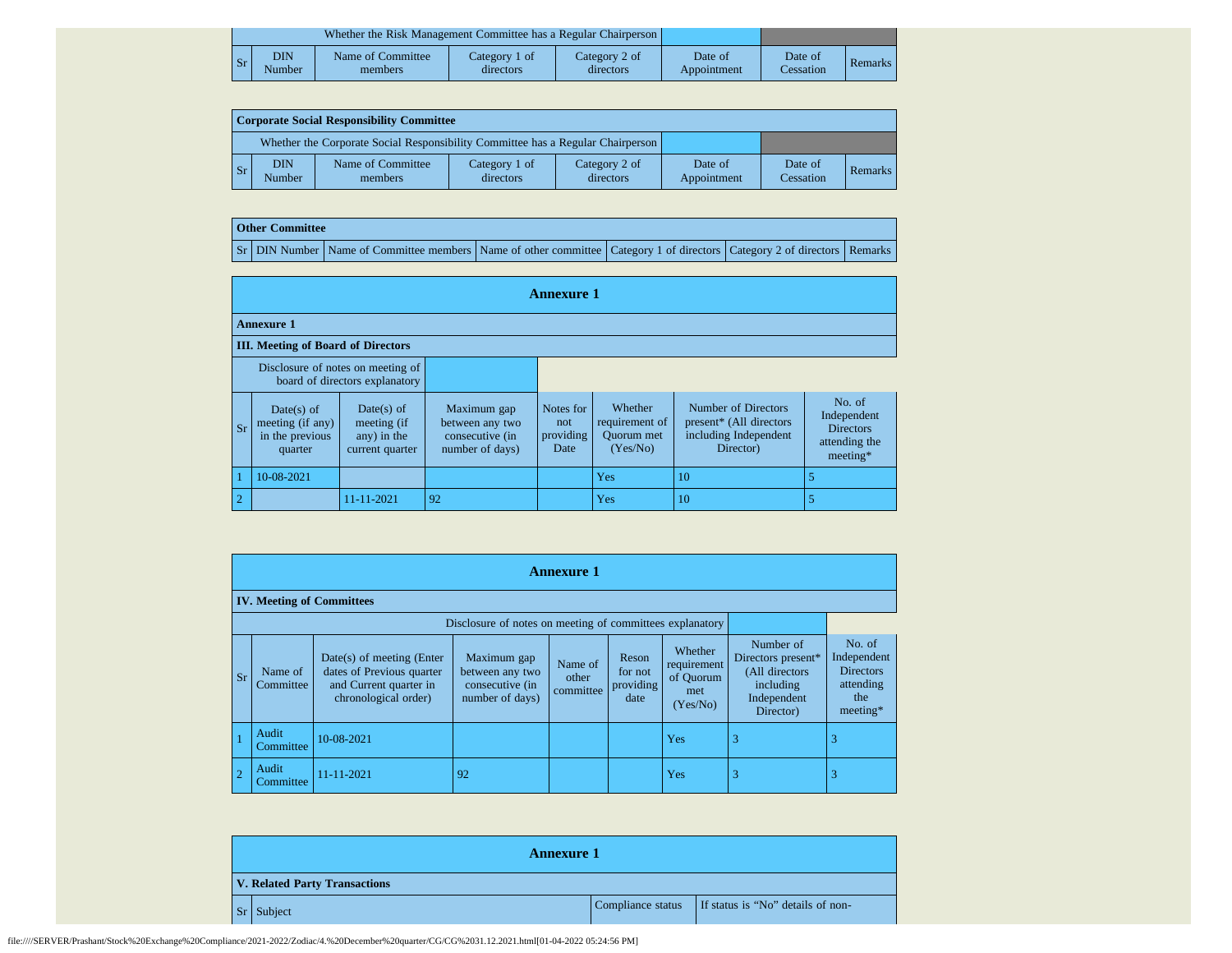|    |               | Whether the Risk Management Committee has a Regular Chairperson |                            |                            |                        |                      |         |
|----|---------------|-----------------------------------------------------------------|----------------------------|----------------------------|------------------------|----------------------|---------|
| Sr | DIN<br>Number | Name of Committee<br>members                                    | Category 1 of<br>directors | Category 2 of<br>directors | Date of<br>Appointment | Date of<br>Cessation | Remarks |

| Corporate Social Responsibility Committee |                      |                                                                                 |                            |                            |                        |                      |         |  |  |  |  |
|-------------------------------------------|----------------------|---------------------------------------------------------------------------------|----------------------------|----------------------------|------------------------|----------------------|---------|--|--|--|--|
|                                           |                      | Whether the Corporate Social Responsibility Committee has a Regular Chairperson |                            |                            |                        |                      |         |  |  |  |  |
| l Sr                                      | <b>DIN</b><br>Number | Name of Committee<br>members                                                    | Category 1 of<br>directors | Category 2 of<br>directors | Date of<br>Appointment | Date of<br>Cessation | Remarks |  |  |  |  |

## **Other Committee**

Sr DIN Number Name of Committee members Name of other committee Category 1 of directors Category 2 of directors Remarks

|                |                                                              |                                                                     |                                                                      | <b>Annexure 1</b>                     |                                                            |                                                                                      |                                                                          |
|----------------|--------------------------------------------------------------|---------------------------------------------------------------------|----------------------------------------------------------------------|---------------------------------------|------------------------------------------------------------|--------------------------------------------------------------------------------------|--------------------------------------------------------------------------|
|                | <b>Annexure 1</b>                                            |                                                                     |                                                                      |                                       |                                                            |                                                                                      |                                                                          |
|                | <b>III.</b> Meeting of Board of Directors                    |                                                                     |                                                                      |                                       |                                                            |                                                                                      |                                                                          |
|                |                                                              | Disclosure of notes on meeting of<br>board of directors explanatory |                                                                      |                                       |                                                            |                                                                                      |                                                                          |
| Sr             | Date(s) of<br>meeting (if any)<br>in the previous<br>quarter | Date(s) of<br>meeting (if<br>any) in the<br>current quarter         | Maximum gap<br>between any two<br>consecutive (in<br>number of days) | Notes for<br>not<br>providing<br>Date | Whether<br>requirement of<br><b>Ouorum</b> met<br>(Yes/No) | Number of Directors<br>present* (All directors<br>including Independent<br>Director) | No. of<br>Independent<br><b>Directors</b><br>attending the<br>$meeting*$ |
|                | 10-08-2021                                                   |                                                                     |                                                                      |                                       | Yes                                                        | 10                                                                                   |                                                                          |
| $\overline{2}$ |                                                              | 11-11-2021                                                          | 92                                                                   |                                       | Yes                                                        | 10                                                                                   | 5                                                                        |

|           | <b>Annexure 1</b>                                        |                                                                                                            |                                                                      |                               |                                       |                                                        |                                                                                             |                                                                             |  |  |  |  |  |  |
|-----------|----------------------------------------------------------|------------------------------------------------------------------------------------------------------------|----------------------------------------------------------------------|-------------------------------|---------------------------------------|--------------------------------------------------------|---------------------------------------------------------------------------------------------|-----------------------------------------------------------------------------|--|--|--|--|--|--|
|           | <b>IV. Meeting of Committees</b>                         |                                                                                                            |                                                                      |                               |                                       |                                                        |                                                                                             |                                                                             |  |  |  |  |  |  |
|           | Disclosure of notes on meeting of committees explanatory |                                                                                                            |                                                                      |                               |                                       |                                                        |                                                                                             |                                                                             |  |  |  |  |  |  |
| <b>Sr</b> | Name of<br>Committee                                     | $Date(s)$ of meeting (Enter<br>dates of Previous quarter<br>and Current quarter in<br>chronological order) | Maximum gap<br>between any two<br>consecutive (in<br>number of days) | Name of<br>other<br>committee | Reson<br>for not<br>providing<br>date | Whether<br>requirement<br>of Quorum<br>met<br>(Yes/No) | Number of<br>Directors present*<br>(All directors)<br>including<br>Independent<br>Director) | No. of<br>Independent<br><b>Directors</b><br>attending<br>the<br>$meeting*$ |  |  |  |  |  |  |
|           | Audit<br>Committee                                       | 10-08-2021                                                                                                 |                                                                      |                               |                                       | Yes                                                    | 3                                                                                           | 3                                                                           |  |  |  |  |  |  |
|           | Audit<br>Committee                                       | $11 - 11 - 2021$                                                                                           | 92                                                                   |                               |                                       | Yes                                                    | 3                                                                                           |                                                                             |  |  |  |  |  |  |

| <b>Annexure 1</b>                    |                                                     |
|--------------------------------------|-----------------------------------------------------|
| <b>V. Related Party Transactions</b> |                                                     |
| Sr Subject                           | Compliance status If status is "No" details of non- |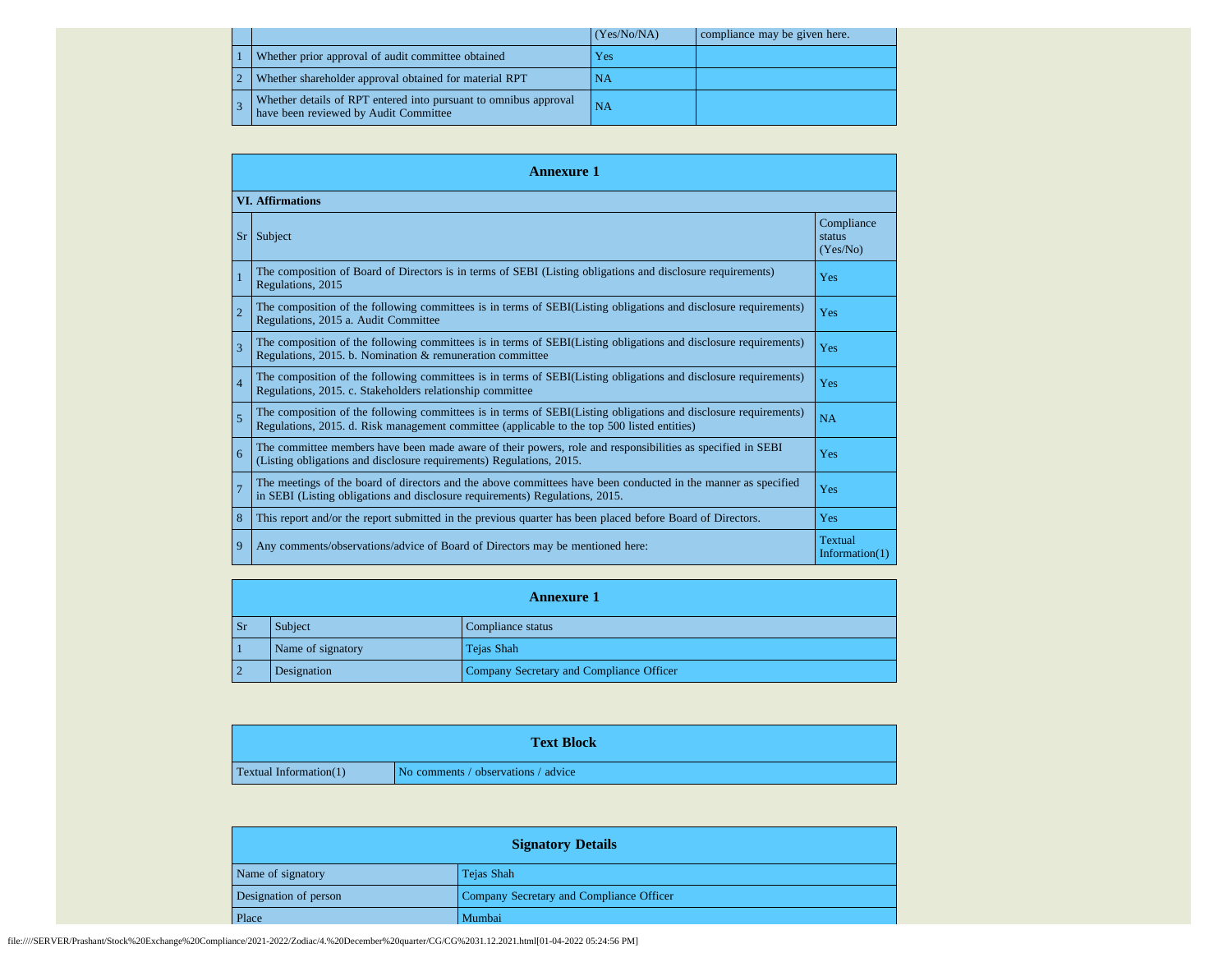|  |                                                                                                           | (Yes/No/NA) | compliance may be given here. |
|--|-----------------------------------------------------------------------------------------------------------|-------------|-------------------------------|
|  | Whether prior approval of audit committee obtained                                                        | Yes         |                               |
|  | Whether shareholder approval obtained for material RPT                                                    | <b>NA</b>   |                               |
|  | Whether details of RPT entered into pursuant to omnibus approval<br>have been reviewed by Audit Committee | <b>NA</b>   |                               |

|                | <b>Annexure 1</b>                                                                                                                                                                                               |                                  |
|----------------|-----------------------------------------------------------------------------------------------------------------------------------------------------------------------------------------------------------------|----------------------------------|
|                | <b>VI.</b> Affirmations                                                                                                                                                                                         |                                  |
| Sr             | Subject                                                                                                                                                                                                         | Compliance<br>status<br>(Yes/No) |
| $\overline{1}$ | The composition of Board of Directors is in terms of SEBI (Listing obligations and disclosure requirements)<br>Regulations, 2015                                                                                | Yes                              |
| $\overline{2}$ | The composition of the following committees is in terms of SEBI(Listing obligations and disclosure requirements)<br>Regulations, 2015 a. Audit Committee                                                        | Yes                              |
| 3              | The composition of the following committees is in terms of SEBI(Listing obligations and disclosure requirements)<br>Regulations, 2015. b. Nomination & remuneration committee                                   | Yes                              |
| $\overline{4}$ | The composition of the following committees is in terms of SEBI(Listing obligations and disclosure requirements)<br>Regulations, 2015. c. Stakeholders relationship committee                                   | Yes                              |
| 5              | The composition of the following committees is in terms of SEBI(Listing obligations and disclosure requirements)<br>Regulations, 2015. d. Risk management committee (applicable to the top 500 listed entities) | NA                               |
| 6              | The committee members have been made aware of their powers, role and responsibilities as specified in SEBI<br>(Listing obligations and disclosure requirements) Regulations, 2015.                              | Yes                              |
| $\overline{7}$ | The meetings of the board of directors and the above committees have been conducted in the manner as specified<br>in SEBI (Listing obligations and disclosure requirements) Regulations, 2015.                  | Yes                              |
| 8              | This report and/or the report submitted in the previous quarter has been placed before Board of Directors.                                                                                                      | Yes                              |
| 9              | Any comments/observations/advice of Board of Directors may be mentioned here:                                                                                                                                   | Textual<br>Information $(1)$     |

|                |                   | <b>Annexure 1</b>                        |
|----------------|-------------------|------------------------------------------|
| <b>Sr</b>      | Subject           | Compliance status                        |
|                | Name of signatory | Tejas Shah                               |
| $\overline{2}$ | Designation       | Company Secretary and Compliance Officer |

|                               | <b>Text Block</b>                   |
|-------------------------------|-------------------------------------|
| <b>Textual Information(1)</b> | No comments / observations / advice |

| <b>Signatory Details</b> |                                          |
|--------------------------|------------------------------------------|
| Name of signatory        | Tejas Shah                               |
| Designation of person    | Company Secretary and Compliance Officer |
| Place                    | Mumbai                                   |